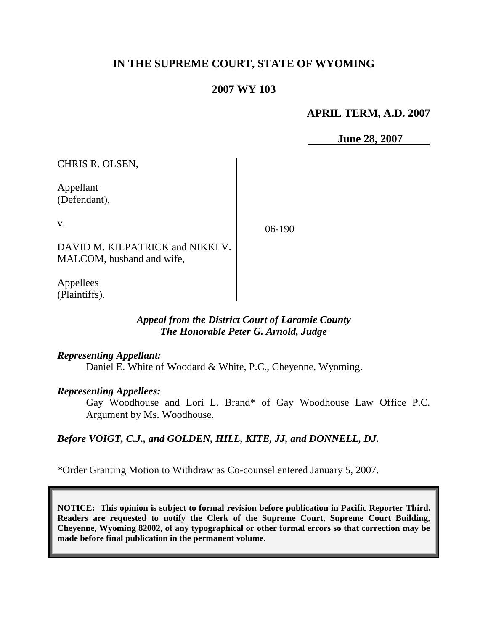# **IN THE SUPREME COURT, STATE OF WYOMING**

# **2007 WY 103**

# **APRIL TERM, A.D. 2007**

 **June 28, 2007**

CHRIS R. OLSEN,

Appellant (Defendant),

v.

06-190

DAVID M. KILPATRICK and NIKKI V. MALCOM, husband and wife,

Appellees (Plaintiffs).

# *Appeal from the District Court of Laramie County The Honorable Peter G. Arnold, Judge*

#### *Representing Appellant:*

Daniel E. White of Woodard & White, P.C., Cheyenne, Wyoming.

# *Representing Appellees:*

Gay Woodhouse and Lori L. Brand\* of Gay Woodhouse Law Office P.C. Argument by Ms. Woodhouse.

# *Before VOIGT, C.J., and GOLDEN, HILL, KITE, JJ, and DONNELL, DJ.*

\*Order Granting Motion to Withdraw as Co-counsel entered January 5, 2007.

**NOTICE: This opinion is subject to formal revision before publication in Pacific Reporter Third. Readers are requested to notify the Clerk of the Supreme Court, Supreme Court Building, Cheyenne, Wyoming 82002, of any typographical or other formal errors so that correction may be made before final publication in the permanent volume.**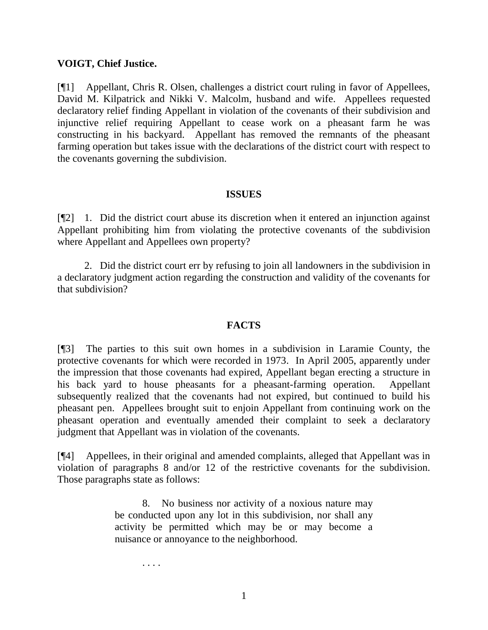# **VOIGT, Chief Justice.**

[¶1] Appellant, Chris R. Olsen, challenges a district court ruling in favor of Appellees, David M. Kilpatrick and Nikki V. Malcolm, husband and wife. Appellees requested declaratory relief finding Appellant in violation of the covenants of their subdivision and injunctive relief requiring Appellant to cease work on a pheasant farm he was constructing in his backyard. Appellant has removed the remnants of the pheasant farming operation but takes issue with the declarations of the district court with respect to the covenants governing the subdivision.

#### **ISSUES**

[¶2] 1. Did the district court abuse its discretion when it entered an injunction against Appellant prohibiting him from violating the protective covenants of the subdivision where Appellant and Appellees own property?

2. Did the district court err by refusing to join all landowners in the subdivision in a declaratory judgment action regarding the construction and validity of the covenants for that subdivision?

# **FACTS**

[¶3] The parties to this suit own homes in a subdivision in Laramie County, the protective covenants for which were recorded in 1973. In April 2005, apparently under the impression that those covenants had expired, Appellant began erecting a structure in his back yard to house pheasants for a pheasant-farming operation. Appellant subsequently realized that the covenants had not expired, but continued to build his pheasant pen. Appellees brought suit to enjoin Appellant from continuing work on the pheasant operation and eventually amended their complaint to seek a declaratory judgment that Appellant was in violation of the covenants.

[¶4] Appellees, in their original and amended complaints, alleged that Appellant was in violation of paragraphs 8 and/or 12 of the restrictive covenants for the subdivision. Those paragraphs state as follows:

> 8. No business nor activity of a noxious nature may be conducted upon any lot in this subdivision, nor shall any activity be permitted which may be or may become a nuisance or annoyance to the neighborhood.

. . . .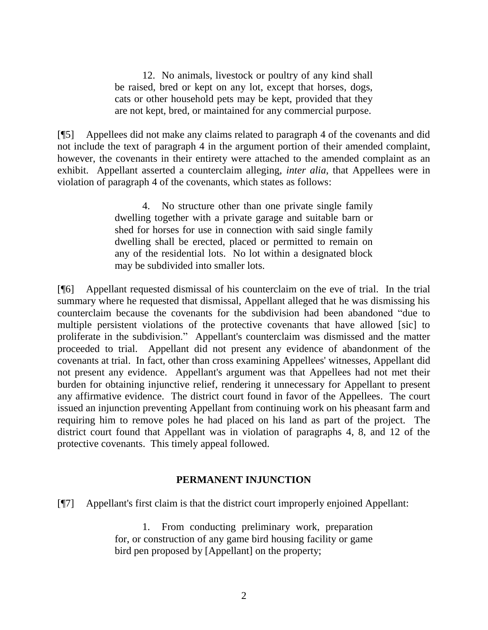12. No animals, livestock or poultry of any kind shall be raised, bred or kept on any lot, except that horses, dogs, cats or other household pets may be kept, provided that they are not kept, bred, or maintained for any commercial purpose.

[¶5] Appellees did not make any claims related to paragraph 4 of the covenants and did not include the text of paragraph 4 in the argument portion of their amended complaint, however, the covenants in their entirety were attached to the amended complaint as an exhibit. Appellant asserted a counterclaim alleging, *inter alia*, that Appellees were in violation of paragraph 4 of the covenants, which states as follows:

> 4. No structure other than one private single family dwelling together with a private garage and suitable barn or shed for horses for use in connection with said single family dwelling shall be erected, placed or permitted to remain on any of the residential lots. No lot within a designated block may be subdivided into smaller lots.

[¶6] Appellant requested dismissal of his counterclaim on the eve of trial. In the trial summary where he requested that dismissal, Appellant alleged that he was dismissing his counterclaim because the covenants for the subdivision had been abandoned "due to multiple persistent violations of the protective covenants that have allowed [sic] to proliferate in the subdivision." Appellant's counterclaim was dismissed and the matter proceeded to trial. Appellant did not present any evidence of abandonment of the covenants at trial. In fact, other than cross examining Appellees' witnesses, Appellant did not present any evidence. Appellant's argument was that Appellees had not met their burden for obtaining injunctive relief, rendering it unnecessary for Appellant to present any affirmative evidence. The district court found in favor of the Appellees. The court issued an injunction preventing Appellant from continuing work on his pheasant farm and requiring him to remove poles he had placed on his land as part of the project. The district court found that Appellant was in violation of paragraphs 4, 8, and 12 of the protective covenants. This timely appeal followed.

# **PERMANENT INJUNCTION**

[¶7] Appellant's first claim is that the district court improperly enjoined Appellant:

1. From conducting preliminary work, preparation for, or construction of any game bird housing facility or game bird pen proposed by [Appellant] on the property;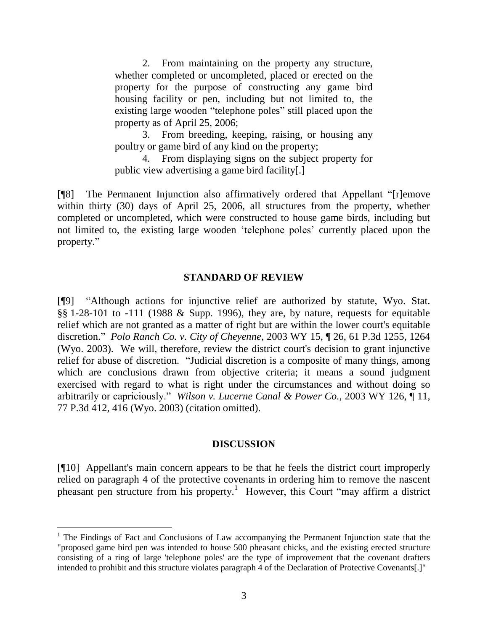2. From maintaining on the property any structure, whether completed or uncompleted, placed or erected on the property for the purpose of constructing any game bird housing facility or pen, including but not limited to, the existing large wooden "telephone poles" still placed upon the property as of April 25, 2006;

3. From breeding, keeping, raising, or housing any poultry or game bird of any kind on the property;

4. From displaying signs on the subject property for public view advertising a game bird facility[.]

[¶8] The Permanent Injunction also affirmatively ordered that Appellant "[r]emove within thirty (30) days of April 25, 2006, all structures from the property, whether completed or uncompleted, which were constructed to house game birds, including but not limited to, the existing large wooden "telephone poles" currently placed upon the property."

# **STANDARD OF REVIEW**

[¶9] "Although actions for injunctive relief are authorized by statute, Wyo. Stat. §§ 1-28-101 to -111 (1988 & Supp. 1996), they are, by nature, requests for equitable relief which are not granted as a matter of right but are within the lower court's equitable discretion." *Polo Ranch Co. v. City of Cheyenne*, 2003 WY 15, ¶ 26, 61 P.3d 1255, 1264 (Wyo. 2003). We will, therefore, review the district court's decision to grant injunctive relief for abuse of discretion. "Judicial discretion is a composite of many things, among which are conclusions drawn from objective criteria; it means a sound judgment exercised with regard to what is right under the circumstances and without doing so arbitrarily or capriciously." *Wilson v. Lucerne Canal & Power Co.*, 2003 WY 126, ¶ 11, 77 P.3d 412, 416 (Wyo. 2003) (citation omitted).

# **DISCUSSION**

[¶10] Appellant's main concern appears to be that he feels the district court improperly relied on paragraph 4 of the protective covenants in ordering him to remove the nascent pheasant pen structure from his property.<sup>1</sup> However, this Court "may affirm a district

 $\overline{a}$ 

 $1$  The Findings of Fact and Conclusions of Law accompanying the Permanent Injunction state that the "proposed game bird pen was intended to house 500 pheasant chicks, and the existing erected structure consisting of a ring of large 'telephone poles' are the type of improvement that the covenant drafters intended to prohibit and this structure violates paragraph 4 of the Declaration of Protective Covenants[.]"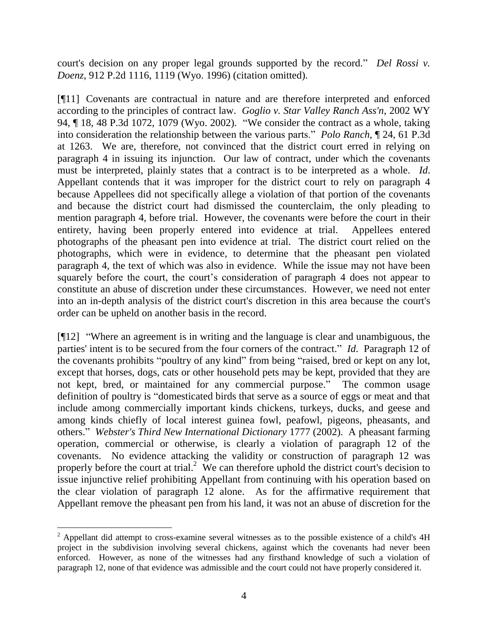court's decision on any proper legal grounds supported by the record." *Del Rossi v. Doenz*, 912 P.2d 1116, 1119 (Wyo. 1996) (citation omitted).

[¶11] Covenants are contractual in nature and are therefore interpreted and enforced according to the principles of contract law. *Goglio v. Star Valley Ranch Ass'n*, 2002 WY 94, ¶ 18, 48 P.3d 1072, 1079 (Wyo. 2002). "We consider the contract as a whole, taking into consideration the relationship between the various parts." *Polo Ranch*, ¶ 24, 61 P.3d at 1263. We are, therefore, not convinced that the district court erred in relying on paragraph 4 in issuing its injunction. Our law of contract, under which the covenants must be interpreted, plainly states that a contract is to be interpreted as a whole. *Id*. Appellant contends that it was improper for the district court to rely on paragraph 4 because Appellees did not specifically allege a violation of that portion of the covenants and because the district court had dismissed the counterclaim, the only pleading to mention paragraph 4, before trial. However, the covenants were before the court in their entirety, having been properly entered into evidence at trial. Appellees entered photographs of the pheasant pen into evidence at trial. The district court relied on the photographs, which were in evidence, to determine that the pheasant pen violated paragraph 4, the text of which was also in evidence. While the issue may not have been squarely before the court, the court's consideration of paragraph 4 does not appear to constitute an abuse of discretion under these circumstances. However, we need not enter into an in-depth analysis of the district court's discretion in this area because the court's order can be upheld on another basis in the record.

[¶12] "Where an agreement is in writing and the language is clear and unambiguous, the parties' intent is to be secured from the four corners of the contract." *Id*. Paragraph 12 of the covenants prohibits "poultry of any kind" from being "raised, bred or kept on any lot, except that horses, dogs, cats or other household pets may be kept, provided that they are not kept, bred, or maintained for any commercial purpose." The common usage definition of poultry is "domesticated birds that serve as a source of eggs or meat and that include among commercially important kinds chickens, turkeys, ducks, and geese and among kinds chiefly of local interest guinea fowl, peafowl, pigeons, pheasants, and others." *Webster's Third New International Dictionary* 1777 (2002). A pheasant farming operation, commercial or otherwise, is clearly a violation of paragraph 12 of the covenants. No evidence attacking the validity or construction of paragraph 12 was properly before the court at trial.<sup>2</sup> We can therefore uphold the district court's decision to issue injunctive relief prohibiting Appellant from continuing with his operation based on the clear violation of paragraph 12 alone. As for the affirmative requirement that Appellant remove the pheasant pen from his land, it was not an abuse of discretion for the

 $\overline{a}$ 

 $^{2}$  Appellant did attempt to cross-examine several witnesses as to the possible existence of a child's 4H project in the subdivision involving several chickens, against which the covenants had never been enforced. However, as none of the witnesses had any firsthand knowledge of such a violation of paragraph 12, none of that evidence was admissible and the court could not have properly considered it.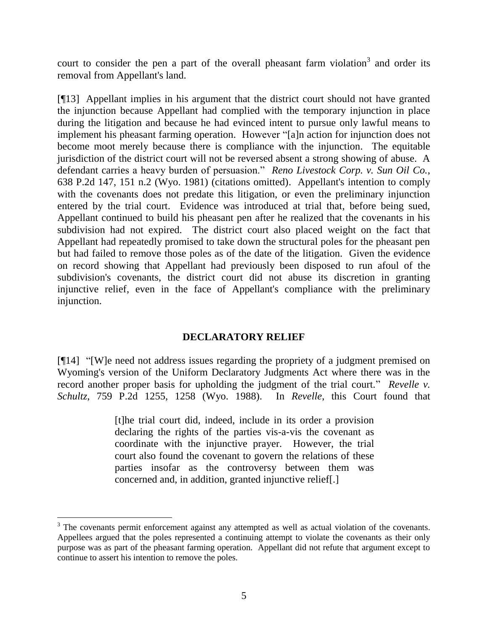court to consider the pen a part of the overall pheasant farm violation<sup>3</sup> and order its removal from Appellant's land.

[¶13] Appellant implies in his argument that the district court should not have granted the injunction because Appellant had complied with the temporary injunction in place during the litigation and because he had evinced intent to pursue only lawful means to implement his pheasant farming operation. However "[a]n action for injunction does not become moot merely because there is compliance with the injunction. The equitable jurisdiction of the district court will not be reversed absent a strong showing of abuse. A defendant carries a heavy burden of persuasion." *Reno Livestock Corp. v. Sun Oil Co.*, 638 P.2d 147, 151 n.2 (Wyo. 1981) (citations omitted). Appellant's intention to comply with the covenants does not predate this litigation, or even the preliminary injunction entered by the trial court. Evidence was introduced at trial that, before being sued, Appellant continued to build his pheasant pen after he realized that the covenants in his subdivision had not expired. The district court also placed weight on the fact that Appellant had repeatedly promised to take down the structural poles for the pheasant pen but had failed to remove those poles as of the date of the litigation. Given the evidence on record showing that Appellant had previously been disposed to run afoul of the subdivision's covenants, the district court did not abuse its discretion in granting injunctive relief, even in the face of Appellant's compliance with the preliminary injunction.

# **DECLARATORY RELIEF**

[¶14] "[W]e need not address issues regarding the propriety of a judgment premised on Wyoming's version of the Uniform Declaratory Judgments Act where there was in the record another proper basis for upholding the judgment of the trial court." *Revelle v. Schultz*, 759 P.2d 1255, 1258 (Wyo. 1988). In *Revelle*, this Court found that

> [t]he trial court did, indeed, include in its order a provision declaring the rights of the parties vis-a-vis the covenant as coordinate with the injunctive prayer. However, the trial court also found the covenant to govern the relations of these parties insofar as the controversy between them was concerned and, in addition, granted injunctive relief[.]

 $\overline{a}$ 

<sup>&</sup>lt;sup>3</sup> The covenants permit enforcement against any attempted as well as actual violation of the covenants. Appellees argued that the poles represented a continuing attempt to violate the covenants as their only purpose was as part of the pheasant farming operation. Appellant did not refute that argument except to continue to assert his intention to remove the poles.